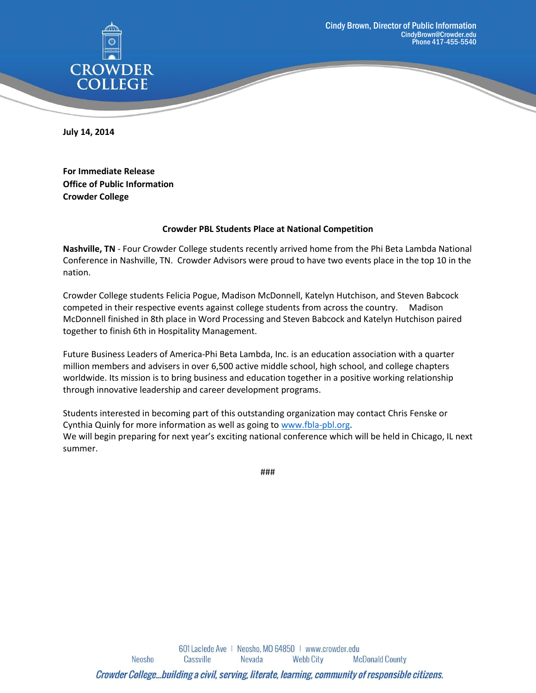

**July 14, 2014**

**For Immediate Release Office of Public Information Crowder College**

## **Crowder PBL Students Place at National Competition**

**Nashville, TN** - Four Crowder College students recently arrived home from the Phi Beta Lambda National Conference in Nashville, TN. Crowder Advisors were proud to have two events place in the top 10 in the nation.

Crowder College students Felicia Pogue, Madison McDonnell, Katelyn Hutchison, and Steven Babcock competed in their respective events against college students from across the country. Madison McDonnell finished in 8th place in Word Processing and Steven Babcock and Katelyn Hutchison paired together to finish 6th in Hospitality Management.

Future Business Leaders of America-Phi Beta Lambda, Inc. is an education association with a quarter million members and advisers in over 6,500 active middle school, high school, and college chapters worldwide. Its mission is to bring business and education together in a positive working relationship through innovative leadership and career development programs.

Students interested in becoming part of this outstanding organization may contact Chris Fenske or Cynthia Quinly for more information as well as going to [www.fbla-pbl.org.](http://www.fbla-pbl.org/) We will begin preparing for next year's exciting national conference which will be held in Chicago, IL next summer.

###